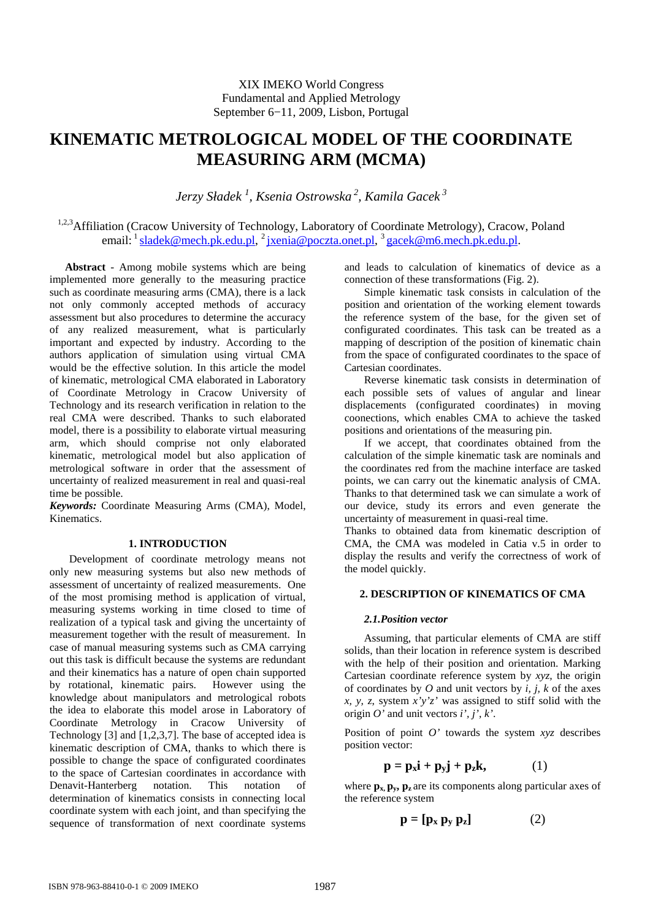# XIX IMEKO World Congress Fundamental and Applied Metrology September 6−11, 2009, Lisbon, Portugal

# **KINEMATIC METROLOGICAL MODEL OF THE COORDINATE MEASURING ARM (MCMA)**

*Jerzy Sładek <sup>1</sup> , Ksenia Ostrowska<sup>2</sup>, Kamila Gacek<sup>3</sup>*

<sup>1,2,3</sup>Affiliation (Cracow University of Technology, Laboratory of Coordinate Metrology), Cracow, Poland email: <sup>1</sup> sladek@mech.pk.edu.pl, <sup>2</sup> jxenia@poczta.onet.pl, <sup>3</sup> gacek@m6.mech.pk.edu.pl.

**Abstract** - Among mobile systems which are being implemented more generally to the measuring practice such as coordinate measuring arms (CMA), there is a lack not only commonly accepted methods of accuracy assessment but also procedures to determine the accuracy of any realized measurement, what is particularly important and expected by industry. According to the authors application of simulation using virtual CMA would be the effective solution. In this article the model of kinematic, metrological CMA elaborated in Laboratory of Coordinate Metrology in Cracow University of Technology and its research verification in relation to the real CMA were described. Thanks to such elaborated model, there is a possibility to elaborate virtual measuring arm, which should comprise not only elaborated kinematic, metrological model but also application of metrological software in order that the assessment of uncertainty of realized measurement in real and quasi-real time be possible.

*Keywords:* Coordinate Measuring Arms (CMA), Model, Kinematics.

## **1. INTRODUCTION**

Development of coordinate metrology means not only new measuring systems but also new methods of assessment of uncertainty of realized measurements. One of the most promising method is application of virtual, measuring systems working in time closed to time of realization of a typical task and giving the uncertainty of measurement together with the result of measurement. In case of manual measuring systems such as CMA carrying out this task is difficult because the systems are redundant and their kinematics has a nature of open chain supported by rotational, kinematic pairs. However using the knowledge about manipulators and metrological robots the idea to elaborate this model arose in Laboratory of Coordinate Metrology in Cracow University of Technology  $[3]$  and  $[1,2,3,7]$ . The base of accepted idea is kinematic description of CMA, thanks to which there is possible to change the space of configurated coordinates to the space of Cartesian coordinates in accordance with Denavit-Hanterberg notation. This notation of determination of kinematics consists in connecting local coordinate system with each joint, and than specifying the sequence of transformation of next coordinate systems and leads to calculation of kinematics of device as a connection of these transformations (Fig. 2).

Simple kinematic task consists in calculation of the position and orientation of the working element towards the reference system of the base, for the given set of configurated coordinates. This task can be treated as a mapping of description of the position of kinematic chain from the space of configurated coordinates to the space of Cartesian coordinates.

Reverse kinematic task consists in determination of each possible sets of values of angular and linear displacements (configurated coordinates) in moving coonections, which enables CMA to achieve the tasked positions and orientations of the measuring pin.

If we accept, that coordinates obtained from the calculation of the simple kinematic task are nominals and the coordinates red from the machine interface are tasked points, we can carry out the kinematic analysis of CMA. Thanks to that determined task we can simulate a work of our device, study its errors and even generate the uncertainty of measurement in quasi-real time.

Thanks to obtained data from kinematic description of CMA, the CMA was modeled in Catia v.5 in order to display the results and verify the correctness of work of the model quickly.

## **2. DESCRIPTION OF KINEMATICS OF CMA**

## *2.1.Position vector*

Assuming, that particular elements of CMA are stiff solids, than their location in reference system is described with the help of their position and orientation. Marking Cartesian coordinate reference system by *xyz,* the origin of coordinates by *O* and unit vectors by *i, j, k* of the axes *x*, *y*, *z*, system  $x'y'z'$  was assigned to stiff solid with the origin *O'* and unit vectors *i', j', k'*.

Position of point *O'* towards the system *xyz* describes position vector:

$$
\mathbf{p} = \mathbf{p_x} \mathbf{i} + \mathbf{p_y} \mathbf{j} + \mathbf{p_z} \mathbf{k},\tag{1}
$$

where  $\mathbf{p}_x$ ,  $\mathbf{p}_y$ ,  $\mathbf{p}_z$  are its components along particular axes of the reference system

$$
\mathbf{p} = [\mathbf{p}_x \ \mathbf{p}_y \ \mathbf{p}_z] \tag{2}
$$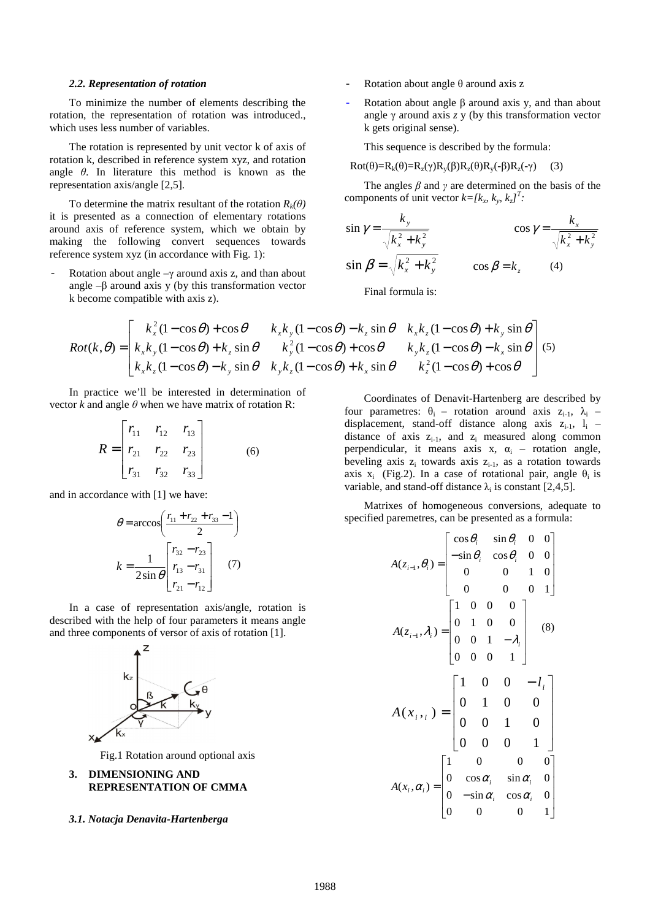#### *2.2. Representation of rotation*

To minimize the number of elements describing the rotation, the representation of rotation was introduced., which uses less number of variables.

The rotation is represented by unit vector k of axis of rotation k, described in reference system xyz, and rotation angle *θ*. In literature this method is known as the representation axis/angle [2,5].

To determine the matrix resultant of the rotation  $R_k(\theta)$ it is presented as a connection of elementary rotations around axis of reference system, which we obtain by making the following convert sequences towards reference system xyz (in accordance with Fig. 1):

Rotation about angle  $-\gamma$  around axis z, and than about angle  $-\beta$  around axis y (by this transformation vector k become compatible with axis z).

- Rotation about angle  $\theta$  around axis z
- Rotation about angle  $\beta$  around axis y, and than about angle γ around axis *z* y (by this transformation vector k gets original sense).

This sequence is described by the formula:

$$
Rot(\theta) = R_k(\theta) = R_z(\gamma)R_y(\beta)R_z(\theta)R_y(-\beta)R_z(-\gamma)
$$
 (3)

 The angles *β* and *γ* are determined on the basis of the components of unit vector  $k = [k_x, k_y, k_z]^T$ .

$$
\sin \gamma = \frac{k_y}{\sqrt{k_x^2 + k_y^2}}
$$
\n
$$
\cos \gamma = \frac{k_x}{\sqrt{k_x^2 + k_y^2}}
$$
\n
$$
\sin \beta = \sqrt{k_x^2 + k_y^2}
$$
\n
$$
\cos \beta = k_z
$$
\n(4)

Final formula is:

$$
Rot(k, \theta) = \begin{bmatrix} k_x^2 (1 - \cos \theta) + \cos \theta & k_x k_y (1 - \cos \theta) - k_z \sin \theta & k_x k_z (1 - \cos \theta) + k_y \sin \theta \\ k_x k_y (1 - \cos \theta) + k_z \sin \theta & k_y^2 (1 - \cos \theta) + \cos \theta & k_y k_z (1 - \cos \theta) - k_x \sin \theta \\ k_x k_z (1 - \cos \theta) - k_y \sin \theta & k_y k_z (1 - \cos \theta) + k_x \sin \theta & k_z^2 (1 - \cos \theta) + \cos \theta \end{bmatrix} (5)
$$

 In practice we'll be interested in determination of vector *k* and angle  $\theta$  when we have matrix of rotation R:

$$
R = \begin{bmatrix} r_{11} & r_{12} & r_{13} \\ r_{21} & r_{22} & r_{23} \\ r_{31} & r_{32} & r_{33} \end{bmatrix}
$$
 (6)

and in accordance with [1] we have:

$$
\theta = \arccos\left(\frac{r_{11} + r_{22} + r_{33} - 1}{2}\right)
$$

$$
k = \frac{1}{2\sin\theta} \begin{bmatrix} r_{32} - r_{23} \\ r_{13} - r_{31} \\ r_{21} - r_{12} \end{bmatrix} \quad (7)
$$

In a case of representation axis/angle, rotation is described with the help of four parameters it means angle and three components of versor of axis of rotation [1].



Fig.1 Rotation around optional axis

## **3. DIMENSIONING AND REPRESENTATION OF CMMA**

#### *3.1. Notacja Denavita-Hartenberga*

Coordinates of Denavit-Hartenberg are described by four parametres:  $\theta_i$  – rotation around axis  $z_{i-1}$ ,  $\lambda_i$  – displacement, stand-off distance along axis  $z_{i-1}$ ,  $l_i$  – distance of axis  $z_{i-1}$ , and  $z_i$  measured along common perpendicular, it means axis  $x$ ,  $\alpha_i$  – rotation angle, beveling axis  $z_i$  towards axis  $z_{i-1}$ , as a rotation towards axis x<sub>i</sub> (Fig.2). In a case of rotational pair, angle  $\theta_i$  is variable, and stand-off distance  $\lambda_i$  is constant [2,4,5].

Matrixes of homogeneous conversions, adequate to specified paremetres, can be presented as a formula:

$$
A(z_{i-1}, \theta_i) = \begin{bmatrix} \cos \theta_i & \sin \theta_i & 0 & 0 \\ -\sin \theta_i & \cos \theta_i & 0 & 0 \\ 0 & 0 & 1 & 0 \\ 0 & 0 & 0 & 1 \end{bmatrix}
$$

$$
A(z_{i-1}, \lambda_i) = \begin{bmatrix} 1 & 0 & 0 & 0 \\ 0 & 1 & 0 & 0 \\ 0 & 0 & 1 & -\lambda_i \\ 0 & 0 & 0 & 1 \end{bmatrix}
$$

$$
A(x_{i+1}) = \begin{bmatrix} 1 & 0 & 0 & -l_i \\ 0 & 1 & 0 & 0 \\ 0 & 0 & 1 & 0 \\ 0 & 0 & 0 & 1 \end{bmatrix}
$$

$$
A(x_i, \alpha_i) = \begin{bmatrix} 1 & 0 & 0 & 0 \\ 0 & \cos \alpha_i & \sin \alpha_i & 0 \\ 0 & -\sin \alpha_i & \cos \alpha_i & 0 \\ 0 & 0 & 0 & 1 \end{bmatrix}
$$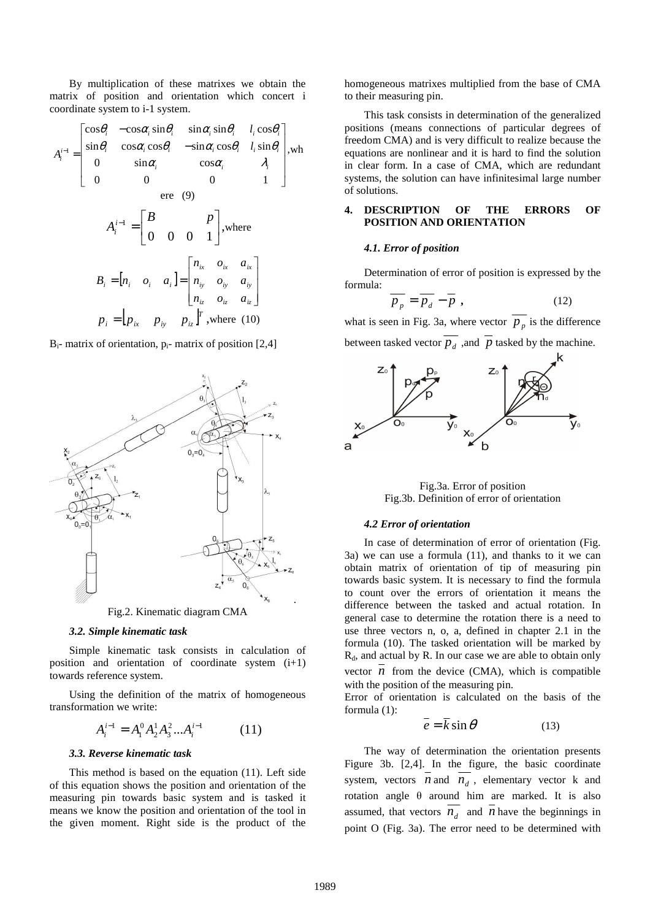By multiplication of these matrixes we obtain the matrix of position and orientation which concert i coordinate system to i-1 system.

$$
A_i^{i-1} = \begin{bmatrix} \cos\theta_i & -\cos\alpha_i \sin\theta_i & \sin\alpha_i \sin\theta_i & l_i \cos\theta_i \\ \sin\theta_i & \cos\alpha_i \cos\theta_i & -\sin\alpha_i \cos\theta_i & l_i \sin\theta_i \\ 0 & \sin\alpha_i & \cos\alpha_i & \lambda_i \\ 0 & 0 & 0 & 1 \end{bmatrix}
$$
,where  
\n
$$
A_i^{i-1} = \begin{bmatrix} B & P \\ 0 & 0 & 0 & 1 \end{bmatrix}
$$
,where  
\n
$$
B_i = \begin{bmatrix} n_i & o_i & a_i \end{bmatrix} = \begin{bmatrix} n_{ix} & o_{ix} & a_{ix} \\ n_{iy} & o_{iy} & a_{iy} \\ n_{iz} & o_{iz} & a_{iz} \end{bmatrix}
$$
  
\n
$$
p_i = \begin{bmatrix} p_{ix} & p_{iy} & p_{iz} \end{bmatrix}^T
$$
, where (10)

 $B_i$ - matrix of orientation,  $p_i$ - matrix of position [2,4]



Fig.2. Kinematic diagram CMA

#### *3.2. Simple kinematic task*

Simple kinematic task consists in calculation of position and orientation of coordinate system (i+1) towards reference system.

Using the definition of the matrix of homogeneous transformation we write:

$$
A_i^{i-1} = A_1^0 A_2^1 A_3^2 \dots A_i^{i-1} \tag{11}
$$

## *3.3. Reverse kinematic task*

This method is based on the equation (11). Left side of this equation shows the position and orientation of the measuring pin towards basic system and is tasked it means we know the position and orientation of the tool in the given moment. Right side is the product of the

homogeneous matrixes multiplied from the base of CMA to their measuring pin.

This task consists in determination of the generalized positions (means connections of particular degrees of freedom CMA) and is very difficult to realize because the equations are nonlinear and it is hard to find the solution in clear form. In a case of CMA, which are redundant systems, the solution can have infinitesimal large number of solutions.

## **4. DESCRIPTION OF THE ERRORS OF POSITION AND ORIENTATION**

#### *4.1. Error of position*

 Determination of error of position is expressed by the formula:

$$
\overline{p_p} = \overline{p_d} - \overline{p} \t{,} \t(12)
$$

what is seen in Fig. 3a, where vector  $p_p$  is the difference between tasked vector  $\overline{p}_d$ , and  $\overline{p}$  tasked by the machine.



Fig.3a. Error of position Fig.3b. Definition of error of orientation

## *4.2 Error of orientation*

In case of determination of error of orientation (Fig. 3a) we can use a formula (11), and thanks to it we can obtain matrix of orientation of tip of measuring pin towards basic system. It is necessary to find the formula to count over the errors of orientation it means the difference between the tasked and actual rotation. In general case to determine the rotation there is a need to use three vectors n, o, a, defined in chapter 2.1 in the formula (10). The tasked orientation will be marked by  $R_d$ , and actual by R. In our case we are able to obtain only vector  $n$  from the device (CMA), which is compatible with the position of the measuring pin.

Error of orientation is calculated on the basis of the formula (1):

$$
\overline{e} = \overline{k} \sin \theta \tag{13}
$$

The way of determination the orientation presents Figure 3b. [2,4]. In the figure, the basic coordinate system, vectors  $n$  and  $n_d$ , elementary vector k and rotation angle θ around him are marked. It is also assumed, that vectors  $\overline{n}_d$  and  $\overline{n}$  have the beginnings in point O (Fig. 3a). The error need to be determined with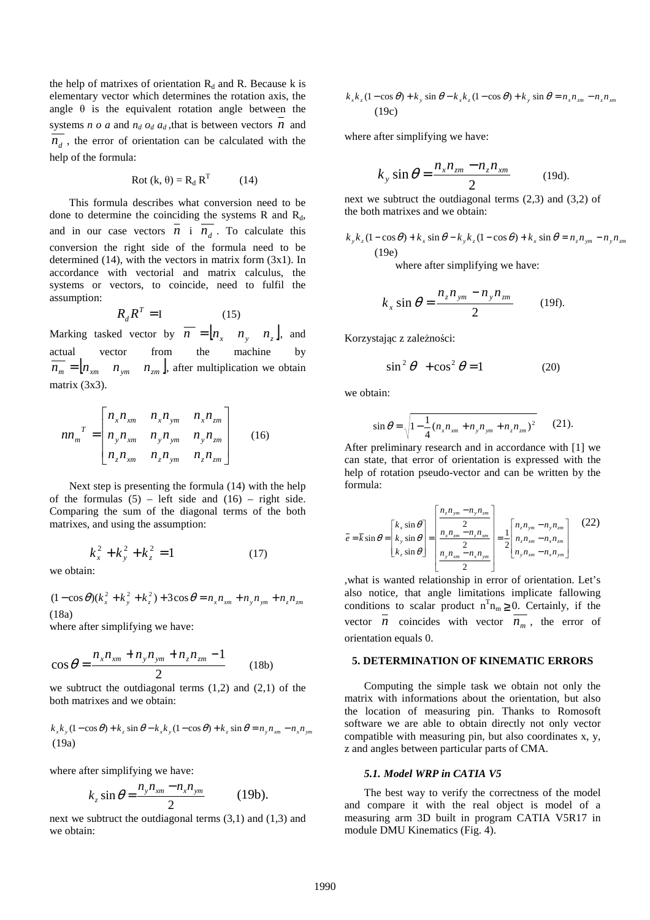the help of matrixes of orientation  $R_d$  and R. Because k is elementary vector which determines the rotation axis, the angle  $\theta$  is the equivalent rotation angle between the systems *n o a* and  $n_d$  *o*<sub>d</sub>  $a_d$ , that is between vectors *n* and  $n_d$ , the error of orientation can be calculated with the help of the formula:

$$
Rot (k, \theta) = R_d RT (14)
$$

This formula describes what conversion need to be done to determine the coinciding the systems  $R$  and  $R_d$ , and in our case vectors  $n_i$  i  $n_i$ . To calculate this conversion the right side of the formula need to be determined (14), with the vectors in matrix form (3x1). In accordance with vectorial and matrix calculus, the systems or vectors, to coincide, need to fulfil the assumption:

$$
R_d R^T = I \tag{15}
$$

Marking tasked vector by  $n = [ n_x \quad n_y \quad n_z ]$ , and actual vector from the machine by  $n_m = [ n_{xm} \quad n_{ym} \quad n_{zm}]$ , after multiplication we obtain matrix (3x3).

$$
nn_{m}^{T} = \begin{bmatrix} n_{x}n_{xm} & n_{x}n_{ym} & n_{x}n_{zm} \\ n_{y}n_{xm} & n_{y}n_{ym} & n_{y}n_{zm} \\ n_{z}n_{xm} & n_{z}n_{ym} & n_{z}n_{zm} \end{bmatrix}
$$
 (16)

Next step is presenting the formula (14) with the help of the formulas  $(5)$  – left side and  $(16)$  – right side. Comparing the sum of the diagonal terms of the both matrixes, and using the assumption:

$$
k_x^2 + k_y^2 + k_z^2 = 1
$$
 (17)

we obtain:

 $(1 - \cos \theta)(k_x^2 + k_y^2 + k_z^2) + 3 \cos \theta = n_x n_{xm} + n_y n_{ym} + n_z n_{zm}$ (18a)

where after simplifying we have:

$$
\cos \theta = \frac{n_x n_{xm} + n_y n_{ym} + n_z n_{zm} - 1}{2}
$$
 (18b)

we subtruct the outdiagonal terms  $(1,2)$  and  $(2,1)$  of the both matrixes and we obtain:

$$
k_x k_y (1 - \cos \theta) + k_z \sin \theta - k_x k_y (1 - \cos \theta) + k_z \sin \theta = n_y n_{xm} - n_x n_{ym}
$$
  
(19a)

where after simplifying we have:

*k*

$$
k_z \sin \theta = \frac{n_y n_{xm} - n_x n_{ym}}{2} \qquad (19b).
$$

next we subtruct the outdiagonal terms (3,1) and (1,3) and we obtain:

$$
k_x k_z (1 - \cos \theta) + k_y \sin \theta - k_x k_z (1 - \cos \theta) + k_y \sin \theta = n_x n_{zm} - n_z n_{xm}
$$
  
(19c)

where after simplifying we have:

$$
k_y \sin \theta = \frac{n_x n_{zm} - n_z n_{xm}}{2}
$$
 (19d).

next we subtruct the outdiagonal terms (2,3) and (3,2) of the both matrixes and we obtain:

$$
k_y k_z (1 - \cos \theta) + k_x \sin \theta - k_y k_z (1 - \cos \theta) + k_x \sin \theta = n_z n_{ym} - n_y n_{zm}
$$
  
(19e)

where after simplifying we have:

$$
k_x \sin \theta = \frac{n_z n_{ym} - n_y n_{zm}}{2} \qquad (19f).
$$

Korzystając z zależności:

$$
\sin^2 \theta + \cos^2 \theta = 1 \tag{20}
$$

we obtain:

$$
\sin \theta = \sqrt{1 - \frac{1}{4} (n_x n_{xm} + n_y n_{ym} + n_z n_{zm})^2}
$$
 (21).

After preliminary research and in accordance with [1] we can state, that error of orientation is expressed with the help of rotation pseudo-vector and can be written by the formula:

$$
\bar{e} = \bar{k} \sin \theta = \begin{bmatrix} k_x \sin \theta \\ k_y \sin \theta \\ k_z \sin \theta \end{bmatrix} = \begin{bmatrix} \frac{n_z n_{ym} - n_y n_{zm}}{2} \\ \frac{n_x n_{zm} - n_z n_{xm}}{2} \\ \frac{n_y n_{xm} - n_x n_{ym}}{2} \end{bmatrix} = \frac{1}{2} \begin{bmatrix} n_z n_{ym} - n_y n_{zm} \\ n_z n_{xm} - n_x n_{zm} \\ n_y n_{xm} - n_x n_{ym} \end{bmatrix}
$$
(22)

,what is wanted relationship in error of orientation. Let's also notice, that angle limitations implicate fallowing conditions to scalar product  $n^{T}n_{m} \geq 0$ . Certainly, if the vector *n* coincides with vector  $n_m$ , the error of orientation equals 0.

## **5. DETERMINATION OF KINEMATIC ERRORS**

Computing the simple task we obtain not only the matrix with informations about the orientation, but also the location of measuring pin. Thanks to Romosoft software we are able to obtain directly not only vector compatible with measuring pin, but also coordinates x, y, z and angles between particular parts of CMA.

#### *5.1. Model WRP in CATIA V5*

The best way to verify the correctness of the model and compare it with the real object is model of a measuring arm 3D built in program CATIA V5R17 in module DMU Kinematics (Fig. 4).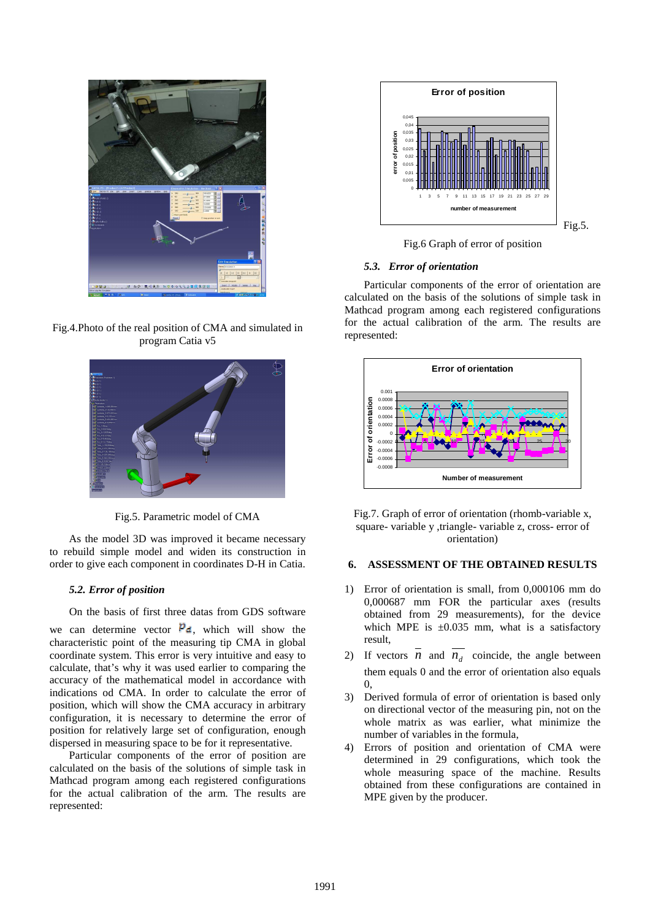

Fig.4.Photo of the real position of CMA and simulated in program Catia v5



Fig.5. Parametric model of CMA

As the model 3D was improved it became necessary to rebuild simple model and widen its construction in order to give each component in coordinates D-H in Catia.

## *5.2. Error of position*

On the basis of first three datas from GDS software

we can determine vector  $P_d$ , which will show the characteristic point of the measuring tip CMA in global coordinate system. This error is very intuitive and easy to calculate, that's why it was used earlier to comparing the accuracy of the mathematical model in accordance with indications od CMA. In order to calculate the error of position, which will show the CMA accuracy in arbitrary configuration, it is necessary to determine the error of position for relatively large set of configuration, enough dispersed in measuring space to be for it representative.

Particular components of the error of position are calculated on the basis of the solutions of simple task in Mathcad program among each registered configurations for the actual calibration of the arm. The results are represented:



Fig.6 Graph of error of position

## *5.3. Error of orientation*

Particular components of the error of orientation are calculated on the basis of the solutions of simple task in Mathcad program among each registered configurations for the actual calibration of the arm. The results are represented:





## **6. ASSESSMENT OF THE OBTAINED RESULTS**

- 1) Error of orientation is small, from 0,000106 mm do 0,000687 mm FOR the particular axes (results obtained from 29 measurements), for the device which MPE is  $\pm 0.035$  mm, what is a satisfactory result,
- 2) If vectors  $\overline{n}$  and  $\overline{n}_d$  coincide, the angle between them equals 0 and the error of orientation also equals  $\Omega$
- 3) Derived formula of error of orientation is based only on directional vector of the measuring pin, not on the whole matrix as was earlier, what minimize the number of variables in the formula,
- 4) Errors of position and orientation of CMA were determined in 29 configurations, which took the whole measuring space of the machine. Results obtained from these configurations are contained in MPE given by the producer.